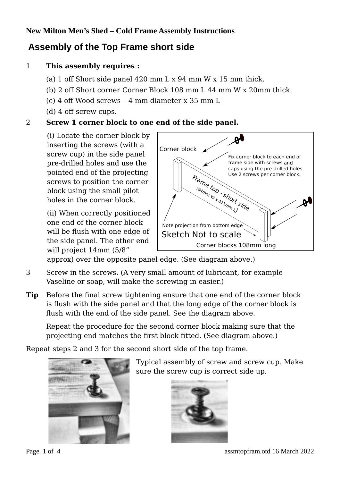# **New Milton Men's Shed – Cold Frame Assembly Instructions**

# **Assembly of the Top Frame short side**

## 1 **This assembly requires :**

- (a) 1 off Short side panel 420 mm L x 94 mm W x 15 mm thick.
- (b) 2 off Short corner Corner Block 108 mm L 44 mm W x 20mm thick.
- (c) 4 off Wood screws 4 mm diameter x 35 mm L
- (d) 4 off screw cups.

#### 2 **Screw 1 corner block to one end of the side panel.**

(i) Locate the corner block by inserting the screws (with a screw cup) in the side panel pre-drilled holes and use the pointed end of the projecting screws to position the corner block using the small pilot holes in the corner block.

(ii) When correctly positioned one end of the corner block will be flush with one edge of the side panel. The other end will project 14mm (5/8"



approx) over the opposite panel edge. (See diagram above.)

- 3 Screw in the screws. (A very small amount of lubricant, for example Vaseline or soap, will make the screwing in easier.)
- **Tip** Before the final screw tightening ensure that one end of the corner block is flush with the side panel and that the long edge of the corner block is flush with the end of the side panel. See the diagram above.

Repeat the procedure for the second corner block making sure that the projecting end matches the first block fitted. (See diagram above.)

Repeat steps 2 and 3 for the second short side of the top frame.



Typical assembly of screw and screw cup. Make sure the screw cup is correct side up.

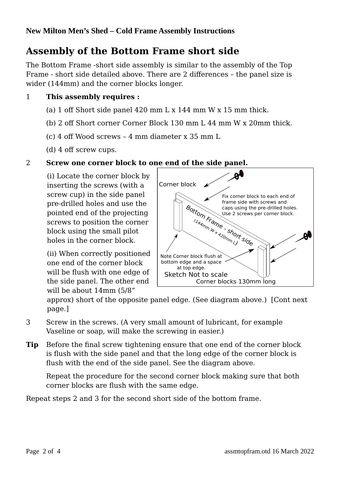# **Assembly of the Bottom Frame short side**

The Bottom Frame -short side assembly is similar to the assembly of the Top Frame - short side detailed above. There are 2 differences – the panel size is wider (144mm) and the corner blocks longer.

# 1 **This assembly requires :**

- (a) 1 off Short side panel 420 mm L x 144 mm W x 15 mm thick.
- (b) 2 off Short corner Corner Block 130 mm L 44 mm W x 20mm thick.
- (c) 4 off Wood screws 4 mm diameter x 35 mm L
- (d) 4 off screw cups.

#### 2 **Screw one corner block to one end of the side panel.**

(i) Locate the corner block by inserting the screws (with a screw cup) in the side panel pre-drilled holes and use the pointed end of the projecting screws to position the corner block using the small pilot holes in the corner block.

(ii) When correctly positioned one end of the corner block will be flush with one edge of the side panel. The other end will be about 14mm (5/8"



approx) short of the opposite panel edge. (See diagram above.) [Cont next page.]

- 3 Screw in the screws. (A very small amount of lubricant, for example Vaseline or soap, will make the screwing in easier.)
- **Tip** Before the final screw tightening ensure that one end of the corner block is flush with the side panel and that the long edge of the corner block is flush with the end of the side panel. See the diagram above.

Repeat the procedure for the second corner block making sure that both corner blocks are flush with the same edge.

Repeat steps 2 and 3 for the second short side of the bottom frame.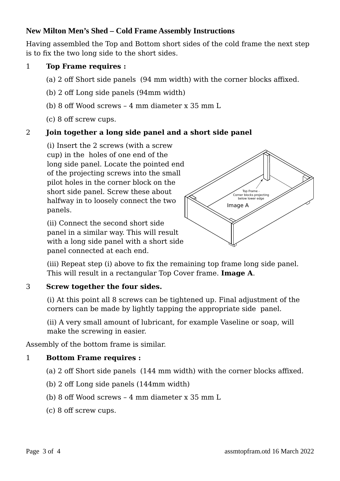# **New Milton Men's Shed – Cold Frame Assembly Instructions**

Having assembled the Top and Bottom short sides of the cold frame the next step is to fix the two long side to the short sides.

#### 1 **Top Frame requires :**

- (a) 2 off Short side panels (94 mm width) with the corner blocks affixed.
- (b) 2 off Long side panels (94mm width)
- (b) 8 off Wood screws 4 mm diameter x 35 mm L
- (c) 8 off screw cups.

#### 2 **Join together a long side panel and a short side panel**

(i) Insert the 2 screws (with a screw cup) in the holes of one end of the long side panel. Locate the pointed end of the projecting screws into the small pilot holes in the corner block on the short side panel. Screw these about halfway in to loosely connect the two panels.

(ii) Connect the second short side panel in a similar way. This will result with a long side panel with a short side panel connected at each end.



(iii) Repeat step (i) above to fix the remaining top frame long side panel. This will result in a rectangular Top Cover frame. **Image A**.

#### 3 **Screw together the four sides.**

(i) At this point all 8 screws can be tightened up. Final adjustment of the corners can be made by lightly tapping the appropriate side panel.

(ii) A very small amount of lubricant, for example Vaseline or soap, will make the screwing in easier.

Assembly of the bottom frame is similar.

#### 1 **Bottom Frame requires :**

- (a) 2 off Short side panels (144 mm width) with the corner blocks affixed.
- (b) 2 off Long side panels (144mm width)
- (b) 8 off Wood screws 4 mm diameter x 35 mm L
- (c) 8 off screw cups.